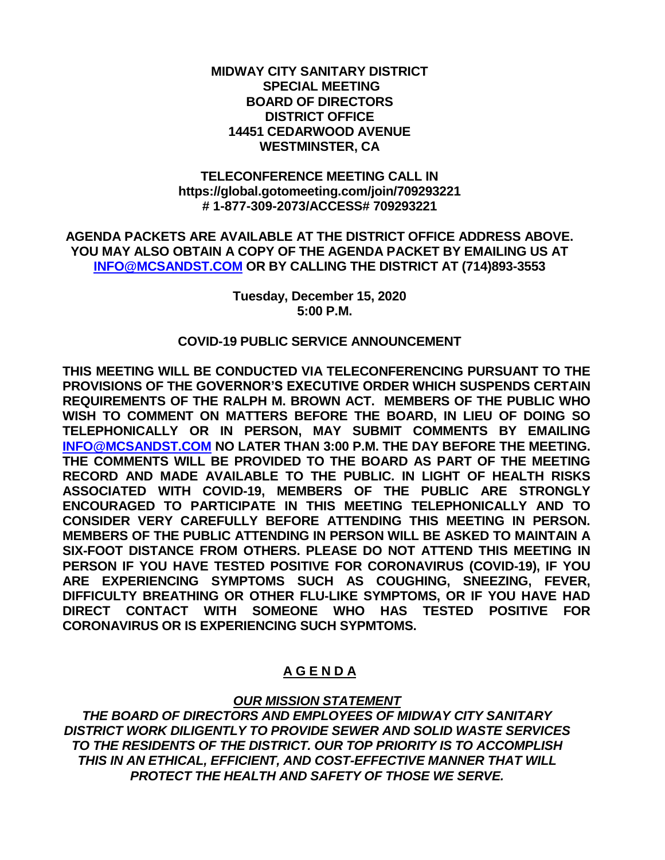### **MIDWAY CITY SANITARY DISTRICT SPECIAL MEETING BOARD OF DIRECTORS DISTRICT OFFICE 14451 CEDARWOOD AVENUE WESTMINSTER, CA**

### **TELECONFERENCE MEETING CALL IN https://global.gotomeeting.com/join/709293221 # 1-877-309-2073/ACCESS# 709293221**

**AGENDA PACKETS ARE AVAILABLE AT THE DISTRICT OFFICE ADDRESS ABOVE. YOU MAY ALSO OBTAIN A COPY OF THE AGENDA PACKET BY EMAILING US AT [INFO@MCSANDST.COM](mailto:INFO@MCSANDST.COM) OR BY CALLING THE DISTRICT AT (714)893-3553**

> **Tuesday, December 15, 2020 5:00 P.M.**

### **COVID-19 PUBLIC SERVICE ANNOUNCEMENT**

**THIS MEETING WILL BE CONDUCTED VIA TELECONFERENCING PURSUANT TO THE PROVISIONS OF THE GOVERNOR'S EXECUTIVE ORDER WHICH SUSPENDS CERTAIN REQUIREMENTS OF THE RALPH M. BROWN ACT. MEMBERS OF THE PUBLIC WHO WISH TO COMMENT ON MATTERS BEFORE THE BOARD, IN LIEU OF DOING SO TELEPHONICALLY OR IN PERSON, MAY SUBMIT COMMENTS BY EMAILING [INFO@MCSANDST.COM](mailto:INFO@MCSANDST.COM) NO LATER THAN 3:00 P.M. THE DAY BEFORE THE MEETING. THE COMMENTS WILL BE PROVIDED TO THE BOARD AS PART OF THE MEETING RECORD AND MADE AVAILABLE TO THE PUBLIC. IN LIGHT OF HEALTH RISKS ASSOCIATED WITH COVID-19, MEMBERS OF THE PUBLIC ARE STRONGLY ENCOURAGED TO PARTICIPATE IN THIS MEETING TELEPHONICALLY AND TO CONSIDER VERY CAREFULLY BEFORE ATTENDING THIS MEETING IN PERSON. MEMBERS OF THE PUBLIC ATTENDING IN PERSON WILL BE ASKED TO MAINTAIN A SIX-FOOT DISTANCE FROM OTHERS. PLEASE DO NOT ATTEND THIS MEETING IN PERSON IF YOU HAVE TESTED POSITIVE FOR CORONAVIRUS (COVID-19), IF YOU ARE EXPERIENCING SYMPTOMS SUCH AS COUGHING, SNEEZING, FEVER, DIFFICULTY BREATHING OR OTHER FLU-LIKE SYMPTOMS, OR IF YOU HAVE HAD DIRECT CONTACT WITH SOMEONE WHO HAS TESTED POSITIVE FOR CORONAVIRUS OR IS EXPERIENCING SUCH SYPMTOMS.** 

## **A G E N D A**

## *OUR MISSION STATEMENT*

*THE BOARD OF DIRECTORS AND EMPLOYEES OF MIDWAY CITY SANITARY DISTRICT WORK DILIGENTLY TO PROVIDE SEWER AND SOLID WASTE SERVICES TO THE RESIDENTS OF THE DISTRICT. OUR TOP PRIORITY IS TO ACCOMPLISH THIS IN AN ETHICAL, EFFICIENT, AND COST-EFFECTIVE MANNER THAT WILL PROTECT THE HEALTH AND SAFETY OF THOSE WE SERVE.*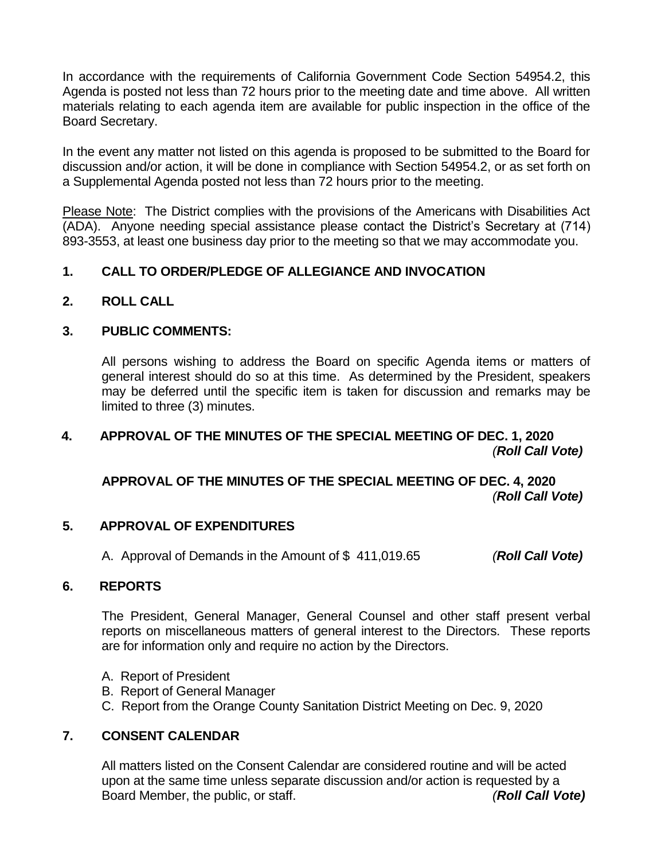In accordance with the requirements of California Government Code Section 54954.2, this Agenda is posted not less than 72 hours prior to the meeting date and time above. All written materials relating to each agenda item are available for public inspection in the office of the Board Secretary.

In the event any matter not listed on this agenda is proposed to be submitted to the Board for discussion and/or action, it will be done in compliance with Section 54954.2, or as set forth on a Supplemental Agenda posted not less than 72 hours prior to the meeting.

Please Note: The District complies with the provisions of the Americans with Disabilities Act (ADA). Anyone needing special assistance please contact the District's Secretary at (714) 893-3553, at least one business day prior to the meeting so that we may accommodate you.

## **1. CALL TO ORDER/PLEDGE OF ALLEGIANCE AND INVOCATION**

**2. ROLL CALL**

## **3. PUBLIC COMMENTS:**

All persons wishing to address the Board on specific Agenda items or matters of general interest should do so at this time. As determined by the President, speakers may be deferred until the specific item is taken for discussion and remarks may be limited to three (3) minutes.

## **4. APPROVAL OF THE MINUTES OF THE SPECIAL MEETING OF DEC. 1, 2020** *(Roll Call Vote)*

**APPROVAL OF THE MINUTES OF THE SPECIAL MEETING OF DEC. 4, 2020**  *(Roll Call Vote)*

## **5. APPROVAL OF EXPENDITURES**

A. Approval of Demands in the Amount of \$ 411,019.65 *(Roll Call Vote)*

## **6. REPORTS**

The President, General Manager, General Counsel and other staff present verbal reports on miscellaneous matters of general interest to the Directors. These reports are for information only and require no action by the Directors.

- A. Report of President
- B. Report of General Manager
- C. Report from the Orange County Sanitation District Meeting on Dec. 9, 2020

## **7. CONSENT CALENDAR**

All matters listed on the Consent Calendar are considered routine and will be acted upon at the same time unless separate discussion and/or action is requested by a Board Member, the public, or staff. *(Roll Call Vote)*